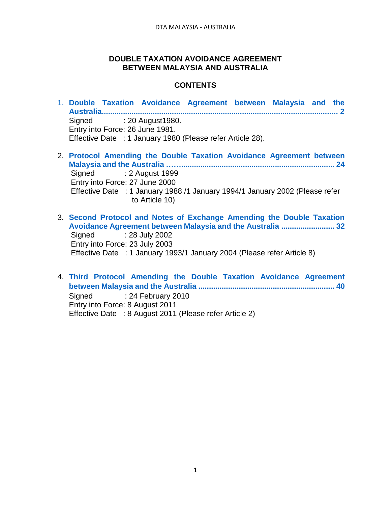# **DOUBLE TAXATION AVOIDANCE AGREEMENT BETWEEN MALAYSIA AND AUSTRALIA**

## **CONTENTS**

- 1. **Double [Taxation Avoidance Agreement between Malaysia and the](#page-1-0)  [Australia...............................................................................................................](#page-1-0) 2** Signed : 20 August 1980. Entry into Force: 26 June 1981. Effective Date : 1 January 1980 (Please refer Article 28).
- 2. **[Protocol Amending the Double Taxation Avoidance Agreement between](#page-23-0)  Malaysia and the Australia [……........................................................................ 24](#page-23-0)** Signed : 2 August 1999 Entry into Force: 27 June 2000 Effective Date : 1 January 1988 /1 January 1994/1 January 2002 (Please refer to Article 10)
- 3. **[Second Protocol and Notes of Exchange Amending the Double Taxation](#page-31-0)  [Avoidance Agreement between Malaysia and the Australia](#page-31-0) ......................... 32** Signed : 28 July 2002 Entry into Force: 23 July 2003 Effective Date : 1 January 1993/1 January 2004 (Please refer Article 8)
- 4. **[Third Protocol Amending the Double Taxation Avoidance Agreement](#page-39-0)  between Malaysia and the Australia [................................................................ 4](#page-39-0)0** Signed : 24 February 2010 Entry into Force: 8 August 2011 Effective Date : 8 August 2011 (Please refer Article 2)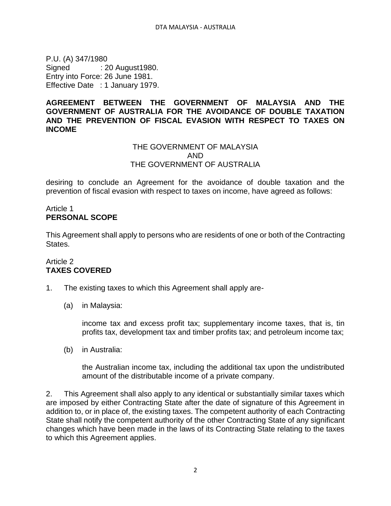<span id="page-1-0"></span>P.U. (A) 347/1980 Signed : 20 August 1980. Entry into Force: 26 June 1981. Effective Date : 1 January 1979.

### **AGREEMENT BETWEEN THE GOVERNMENT OF MALAYSIA AND THE GOVERNMENT OF AUSTRALIA FOR THE AVOIDANCE OF DOUBLE TAXATION AND THE PREVENTION OF FISCAL EVASION WITH RESPECT TO TAXES ON INCOME**

# THE GOVERNMENT OF MALAYSIA AND THE GOVERNMENT OF AUSTRALIA

desiring to conclude an Agreement for the avoidance of double taxation and the prevention of fiscal evasion with respect to taxes on income, have agreed as follows:

### Article 1 **PERSONAL SCOPE**

This Agreement shall apply to persons who are residents of one or both of the Contracting States.

### Article 2 **TAXES COVERED**

- 1. The existing taxes to which this Agreement shall apply are-
	- (a) in Malaysia:

income tax and excess profit tax; supplementary income taxes, that is, tin profits tax, development tax and timber profits tax; and petroleum income tax;

(b) in Australia:

the Australian income tax, including the additional tax upon the undistributed amount of the distributable income of a private company.

2. This Agreement shall also apply to any identical or substantially similar taxes which are imposed by either Contracting State after the date of signature of this Agreement in addition to, or in place of, the existing taxes. The competent authority of each Contracting State shall notify the competent authority of the other Contracting State of any significant changes which have been made in the laws of its Contracting State relating to the taxes to which this Agreement applies.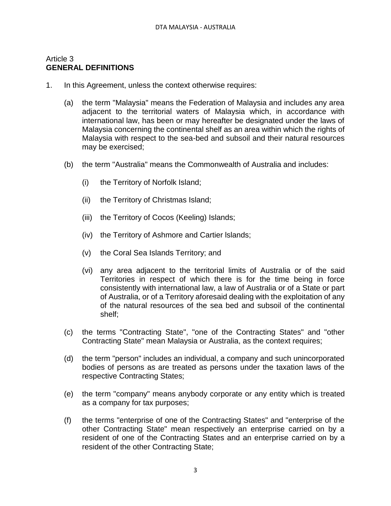# Article 3 **GENERAL DEFINITIONS**

- 1. In this Agreement, unless the context otherwise requires:
	- (a) the term "Malaysia" means the Federation of Malaysia and includes any area adjacent to the territorial waters of Malaysia which, in accordance with international law, has been or may hereafter be designated under the laws of Malaysia concerning the continental shelf as an area within which the rights of Malaysia with respect to the sea-bed and subsoil and their natural resources may be exercised;
	- (b) the term "Australia" means the Commonwealth of Australia and includes:
		- (i) the Territory of Norfolk Island;
		- (ii) the Territory of Christmas Island;
		- (iii) the Territory of Cocos (Keeling) Islands;
		- (iv) the Territory of Ashmore and Cartier lslands;
		- (v) the Coral Sea Islands Territory; and
		- (vi) any area adjacent to the territorial limits of Australia or of the said Territories in respect of which there is for the time being in force consistently with international law, a law of Australia or of a State or part of Australia, or of a Territory aforesaid dealing with the exploitation of any of the natural resources of the sea bed and subsoil of the continental shelf;
	- (c) the terms "Contracting State", "one of the Contracting States" and "other Contracting State" mean Malaysia or Australia, as the context requires;
	- (d) the term "person" includes an individual, a company and such unincorporated bodies of persons as are treated as persons under the taxation laws of the respective Contracting States;
	- (e) the term "company" means anybody corporate or any entity which is treated as a company for tax purposes;
	- (f) the terms "enterprise of one of the Contracting States" and "enterprise of the other Contracting State" mean respectively an enterprise carried on by a resident of one of the Contracting States and an enterprise carried on by a resident of the other Contracting State;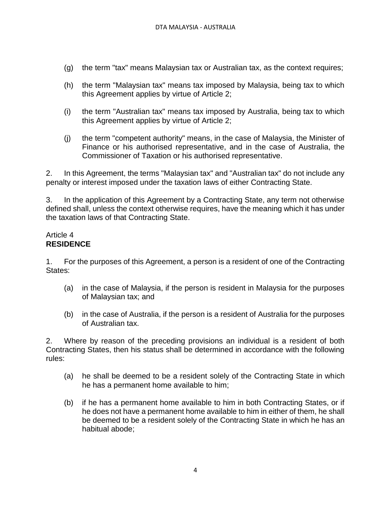- (g) the term "tax" means Malaysian tax or Australian tax, as the context requires;
- (h) the term "Malaysian tax" means tax imposed by Malaysia, being tax to which this Agreement applies by virtue of Article 2;
- (i) the term "Australian tax" means tax imposed by Australia, being tax to which this Agreement applies by virtue of Article 2;
- (j) the term "competent authority" means, in the case of Malaysia, the Minister of Finance or his authorised representative, and in the case of Australia, the Commissioner of Taxation or his authorised representative.

2. In this Agreement, the terms "Malaysian tax" and "Australian tax" do not include any penalty or interest imposed under the taxation laws of either Contracting State.

3. In the application of this Agreement by a Contracting State, any term not otherwise defined shall, unless the context otherwise requires, have the meaning which it has under the taxation laws of that Contracting State.

# Article 4 **RESIDENCE**

1. For the purposes of this Agreement, a person is a resident of one of the Contracting States:

- (a) in the case of Malaysia, if the person is resident in Malaysia for the purposes of Malaysian tax; and
- (b) in the case of Australia, if the person is a resident of Australia for the purposes of Australian tax.

2. Where by reason of the preceding provisions an individual is a resident of both Contracting States, then his status shall be determined in accordance with the following rules:

- (a) he shall be deemed to be a resident solely of the Contracting State in which he has a permanent home available to him;
- (b) if he has a permanent home available to him in both Contracting States, or if he does not have a permanent home available to him in either of them, he shall be deemed to be a resident solely of the Contracting State in which he has an habitual abode;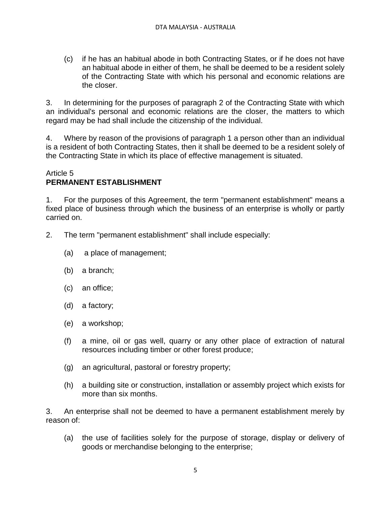(c) if he has an habitual abode in both Contracting States, or if he does not have an habitual abode in either of them, he shall be deemed to be a resident solely of the Contracting State with which his personal and economic relations are the closer.

3. In determining for the purposes of paragraph 2 of the Contracting State with which an individual's personal and economic relations are the closer, the matters to which regard may be had shall include the citizenship of the individual.

4. Where by reason of the provisions of paragraph 1 a person other than an individual is a resident of both Contracting States, then it shall be deemed to be a resident solely of the Contracting State in which its place of effective management is situated.

## Article 5 **PERMANENT ESTABLISHMENT**

1. For the purposes of this Agreement, the term "permanent establishment" means a fixed place of business through which the business of an enterprise is wholly or partly carried on.

- 2. The term "permanent establishment" shall include especially:
	- (a) a place of management;
	- (b) a branch;
	- (c) an office;
	- (d) a factory;
	- (e) a workshop;
	- (f) a mine, oil or gas well, quarry or any other place of extraction of natural resources including timber or other forest produce;
	- (g) an agricultural, pastoral or forestry property;
	- (h) a building site or construction, installation or assembly project which exists for more than six months.

3. An enterprise shall not be deemed to have a permanent establishment merely by reason of:

(a) the use of facilities solely for the purpose of storage, display or delivery of goods or merchandise belonging to the enterprise;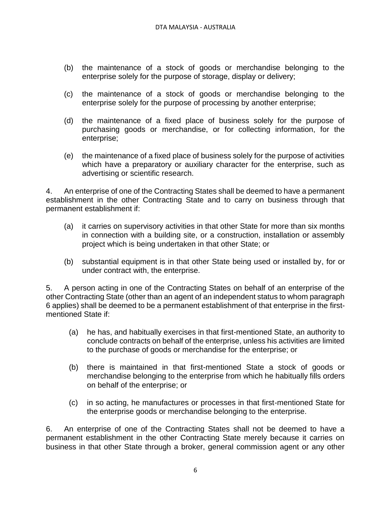- (b) the maintenance of a stock of goods or merchandise belonging to the enterprise solely for the purpose of storage, display or delivery;
- (c) the maintenance of a stock of goods or merchandise belonging to the enterprise solely for the purpose of processing by another enterprise;
- (d) the maintenance of a fixed place of business solely for the purpose of purchasing goods or merchandise, or for collecting information, for the enterprise;
- (e) the maintenance of a fixed place of business solely for the purpose of activities which have a preparatory or auxiliary character for the enterprise, such as advertising or scientific research.

4. An enterprise of one of the Contracting States shall be deemed to have a permanent establishment in the other Contracting State and to carry on business through that permanent establishment if:

- (a) it carries on supervisory activities in that other State for more than six months in connection with a building site, or a construction, installation or assembly project which is being undertaken in that other State; or
- (b) substantial equipment is in that other State being used or installed by, for or under contract with, the enterprise.

5. A person acting in one of the Contracting States on behalf of an enterprise of the other Contracting State (other than an agent of an independent status to whom paragraph 6 applies) shall be deemed to be a permanent establishment of that enterprise in the firstmentioned State if:

- (a) he has, and habitually exercises in that first-mentioned State, an authority to conclude contracts on behalf of the enterprise, unless his activities are limited to the purchase of goods or merchandise for the enterprise; or
- (b) there is maintained in that first-mentioned State a stock of goods or merchandise belonging to the enterprise from which he habitually fills orders on behalf of the enterprise; or
- (c) in so acting, he manufactures or processes in that first-mentioned State for the enterprise goods or merchandise belonging to the enterprise.

6. An enterprise of one of the Contracting States shall not be deemed to have a permanent establishment in the other Contracting State merely because it carries on business in that other State through a broker, general commission agent or any other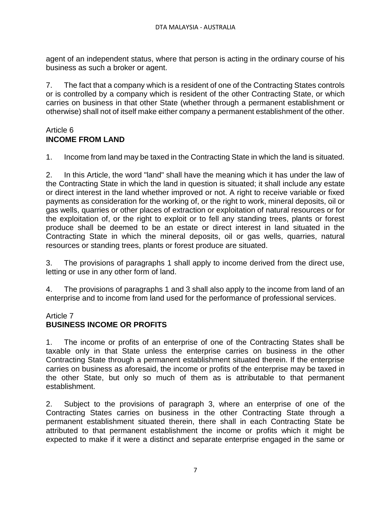agent of an independent status, where that person is acting in the ordinary course of his business as such a broker or agent.

7. The fact that a company which is a resident of one of the Contracting States controls or is controlled by a company which is resident of the other Contracting State, or which carries on business in that other State (whether through a permanent establishment or otherwise) shall not of itself make either company a permanent establishment of the other.

# Article 6 **INCOME FROM LAND**

1. Income from land may be taxed in the Contracting State in which the land is situated.

2. In this Article, the word "land" shall have the meaning which it has under the law of the Contracting State in which the land in question is situated; it shall include any estate or direct interest in the land whether improved or not. A right to receive variable or fixed payments as consideration for the working of, or the right to work, mineral deposits, oil or gas wells, quarries or other places of extraction or exploitation of natural resources or for the exploitation of, or the right to exploit or to fell any standing trees, plants or forest produce shall be deemed to be an estate or direct interest in land situated in the Contracting State in which the mineral deposits, oil or gas wells, quarries, natural resources or standing trees, plants or forest produce are situated.

3. The provisions of paragraphs 1 shall apply to income derived from the direct use, letting or use in any other form of land.

4. The provisions of paragraphs 1 and 3 shall also apply to the income from land of an enterprise and to income from land used for the performance of professional services.

# Article 7

# **BUSINESS INCOME OR PROFITS**

1. The income or profits of an enterprise of one of the Contracting States shall be taxable only in that State unless the enterprise carries on business in the other Contracting State through a permanent establishment situated therein. If the enterprise carries on business as aforesaid, the income or profits of the enterprise may be taxed in the other State, but only so much of them as is attributable to that permanent establishment.

2. Subject to the provisions of paragraph 3, where an enterprise of one of the Contracting States carries on business in the other Contracting State through a permanent establishment situated therein, there shall in each Contracting State be attributed to that permanent establishment the income or profits which it might be expected to make if it were a distinct and separate enterprise engaged in the same or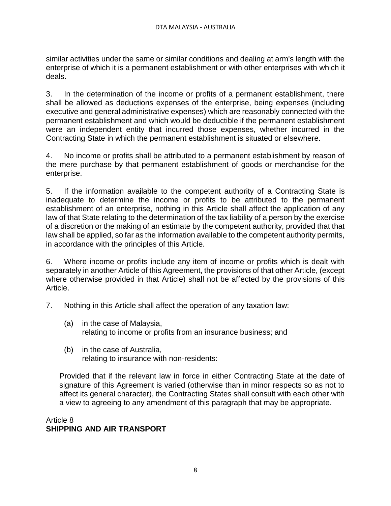similar activities under the same or similar conditions and dealing at arm's length with the enterprise of which it is a permanent establishment or with other enterprises with which it deals.

3. In the determination of the income or profits of a permanent establishment, there shall be allowed as deductions expenses of the enterprise, being expenses (including executive and general administrative expenses) which are reasonably connected with the permanent establishment and which would be deductible if the permanent establishment were an independent entity that incurred those expenses, whether incurred in the Contracting State in which the permanent establishment is situated or elsewhere.

4. No income or profits shall be attributed to a permanent establishment by reason of the mere purchase by that permanent establishment of goods or merchandise for the enterprise.

5. If the information available to the competent authority of a Contracting State is inadequate to determine the income or profits to be attributed to the permanent establishment of an enterprise, nothing in this Article shall affect the application of any law of that State relating to the determination of the tax liability of a person by the exercise of a discretion or the making of an estimate by the competent authority, provided that that law shall be applied, so far as the information available to the competent authority permits, in accordance with the principles of this Article.

6. Where income or profits include any item of income or profits which is dealt with separately in another Article of this Agreement, the provisions of that other Article, (except where otherwise provided in that Article) shall not be affected by the provisions of this Article.

- 7. Nothing in this Article shall affect the operation of any taxation law:
	- (a) in the case of Malaysia, relating to income or profits from an insurance business; and
	- (b) in the case of Australia, relating to insurance with non-residents:

Provided that if the relevant law in force in either Contracting State at the date of signature of this Agreement is varied (otherwise than in minor respects so as not to affect its general character), the Contracting States shall consult with each other with a view to agreeing to any amendment of this paragraph that may be appropriate.

### Article 8 **SHIPPING AND AIR TRANSPORT**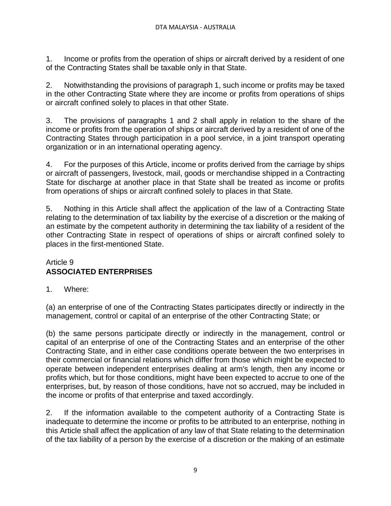1. Income or profits from the operation of ships or aircraft derived by a resident of one of the Contracting States shall be taxable only in that State.

2. Notwithstanding the provisions of paragraph 1, such income or profits may be taxed in the other Contracting State where they are income or profits from operations of ships or aircraft confined solely to places in that other State.

3. The provisions of paragraphs 1 and 2 shall apply in relation to the share of the income or profits from the operation of ships or aircraft derived by a resident of one of the Contracting States through participation in a pool service, in a joint transport operating organization or in an international operating agency.

4. For the purposes of this Article, income or profits derived from the carriage by ships or aircraft of passengers, livestock, mail, goods or merchandise shipped in a Contracting State for discharge at another place in that State shall be treated as income or profits from operations of ships or aircraft confined solely to places in that State.

5. Nothing in this Article shall affect the application of the law of a Contracting State relating to the determination of tax liability by the exercise of a discretion or the making of an estimate by the competent authority in determining the tax liability of a resident of the other Contracting State in respect of operations of ships or aircraft confined solely to places in the first-mentioned State.

# Article 9 **ASSOCIATED ENTERPRISES**

1. Where:

(a) an enterprise of one of the Contracting States participates directly or indirectly in the management, control or capital of an enterprise of the other Contracting State; or

(b) the same persons participate directly or indirectly in the management, control or capital of an enterprise of one of the Contracting States and an enterprise of the other Contracting State, and in either case conditions operate between the two enterprises in their commercial or financial relations which differ from those which might be expected to operate between independent enterprises dealing at arm's length, then any income or profits which, but for those conditions, might have been expected to accrue to one of the enterprises, but, by reason of those conditions, have not so accrued, may be included in the income or profits of that enterprise and taxed accordingly.

2. If the information available to the competent authority of a Contracting State is inadequate to determine the income or profits to be attributed to an enterprise, nothing in this Article shall affect the application of any law of that State relating to the determination of the tax liability of a person by the exercise of a discretion or the making of an estimate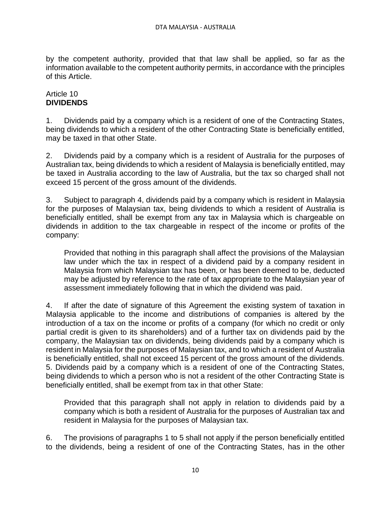by the competent authority, provided that that law shall be applied, so far as the information available to the competent authority permits, in accordance with the principles of this Article.

#### Article 10 **DIVIDENDS**

1. Dividends paid by a company which is a resident of one of the Contracting States, being dividends to which a resident of the other Contracting State is beneficially entitled, may be taxed in that other State.

2. Dividends paid by a company which is a resident of Australia for the purposes of Australian tax, being dividends to which a resident of Malaysia is beneficially entitled, may be taxed in Australia according to the law of Australia, but the tax so charged shall not exceed 15 percent of the gross amount of the dividends.

3. Subject to paragraph 4, dividends paid by a company which is resident in Malaysia for the purposes of Malaysian tax, being dividends to which a resident of Australia is beneficially entitled, shall be exempt from any tax in Malaysia which is chargeable on dividends in addition to the tax chargeable in respect of the income or profits of the company:

Provided that nothing in this paragraph shall affect the provisions of the Malaysian law under which the tax in respect of a dividend paid by a company resident in Malaysia from which Malaysian tax has been, or has been deemed to be, deducted may be adjusted by reference to the rate of tax appropriate to the Malaysian year of assessment immediately following that in which the dividend was paid.

4. If after the date of signature of this Agreement the existing system of taxation in Malaysia applicable to the income and distributions of companies is altered by the introduction of a tax on the income or profits of a company (for which no credit or only partial credit is given to its shareholders) and of a further tax on dividends paid by the company, the Malaysian tax on dividends, being dividends paid by a company which is resident in Malaysia for the purposes of Malaysian tax, and to which a resident of Australia is beneficially entitled, shall not exceed 15 percent of the gross amount of the dividends. 5. Dividends paid by a company which is a resident of one of the Contracting States, being dividends to which a person who is not a resident of the other Contracting State is beneficially entitled, shall be exempt from tax in that other State:

Provided that this paragraph shall not apply in relation to dividends paid by a company which is both a resident of Australia for the purposes of Australian tax and resident in Malaysia for the purposes of Malaysian tax.

6. The provisions of paragraphs 1 to 5 shall not apply if the person beneficially entitled to the dividends, being a resident of one of the Contracting States, has in the other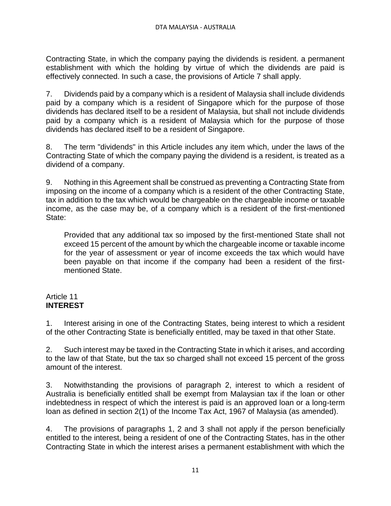Contracting State, in which the company paying the dividends is resident. a permanent establishment with which the holding by virtue of which the dividends are paid is effectively connected. In such a case, the provisions of Article 7 shall apply.

7. Dividends paid by a company which is a resident of Malaysia shall include dividends paid by a company which is a resident of Singapore which for the purpose of those dividends has declared itself to be a resident of Malaysia, but shall not include dividends paid by a company which is a resident of Malaysia which for the purpose of those dividends has declared itself to be a resident of Singapore.

8. The term "dividends" in this Article includes any item which, under the laws of the Contracting State of which the company paying the dividend is a resident, is treated as a dividend of a company.

9. Nothing in this Agreement shall be construed as preventing a Contracting State from imposing on the income of a company which is a resident of the other Contracting State, tax in addition to the tax which would be chargeable on the chargeable income or taxable income, as the case may be, of a company which is a resident of the first-mentioned State:

Provided that any additional tax so imposed by the first-mentioned State shall not exceed 15 percent of the amount by which the chargeable income or taxable income for the year of assessment or year of income exceeds the tax which would have been payable on that income if the company had been a resident of the firstmentioned State.

### Article 11 **INTEREST**

1. Interest arising in one of the Contracting States, being interest to which a resident of the other Contracting State is beneficially entitled, may be taxed in that other State.

2. Such interest may be taxed in the Contracting State in which it arises, and according to the law of that State, but the tax so charged shall not exceed 15 percent of the gross amount of the interest.

3. Notwithstanding the provisions of paragraph 2, interest to which a resident of Australia is beneficially entitled shall be exempt from Malaysian tax if the loan or other indebtedness in respect of which the interest is paid is an approved loan or a long-term loan as defined in section 2(1) of the Income Tax Act, 1967 of Malaysia (as amended).

4. The provisions of paragraphs 1, 2 and 3 shall not apply if the person beneficially entitled to the interest, being a resident of one of the Contracting States, has in the other Contracting State in which the interest arises a permanent establishment with which the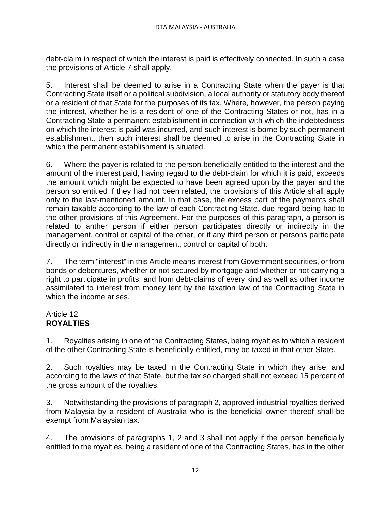debt-claim in respect of which the interest is paid is effectively connected. In such a case the provisions of Article 7 shall apply.

5. Interest shall be deemed to arise in a Contracting State when the payer is that Contracting State itself or a political subdivision, a local authority or statutory body thereof or a resident of that State for the purposes of its tax. Where, however, the person paying the interest, whether he is a resident of one of the Contracting States or not, has in a Contracting State a permanent establishment in connection with which the indebtedness on which the interest is paid was incurred, and such interest is borne by such permanent establishment, then such interest shall be deemed to arise in the Contracting State in which the permanent establishment is situated.

6. Where the payer is related to the person beneficially entitled to the interest and the amount of the interest paid, having regard to the debt-claim for which it is paid, exceeds the amount which might be expected to have been agreed upon by the payer and the person so entitled if they had not been related, the provisions of this Article shall apply only to the last-mentioned amount. In that case, the excess part of the payments shall remain taxable according to the law of each Contracting State, due regard being had to the other provisions of this Agreement. For the purposes of this paragraph, a person is related to anther person if either person participates directly or indirectly in the management, control or capital of the other, or if any third person or persons participate directly or indirectly in the management, control or capital of both.

7. The term "interest" in this Article means interest from Government securities, or from bonds or debentures, whether or not secured by mortgage and whether or not carrying a right to participate in profits, and from debt-claims of every kind as well as other income assimilated to interest from money lent by the taxation law of the Contracting State in which the income arises.

# Article 12 **ROYALTIES**

1. Royalties arising in one of the Contracting States, being royalties to which a resident of the other Contracting State is beneficially entitled, may be taxed in that other State.

2. Such royalties may be taxed in the Contracting State in which they arise, and according to the laws of that State, but the tax so charged shall not exceed 15 percent of the gross amount of the royalties.

3. Notwithstanding the provisions of paragraph 2, approved industrial royalties derived from Malaysia by a resident of Australia who is the beneficial owner thereof shall be exempt from Malaysian tax.

4. The provisions of paragraphs 1, 2 and 3 shall not apply if the person beneficially entitled to the royalties, being a resident of one of the Contracting States, has in the other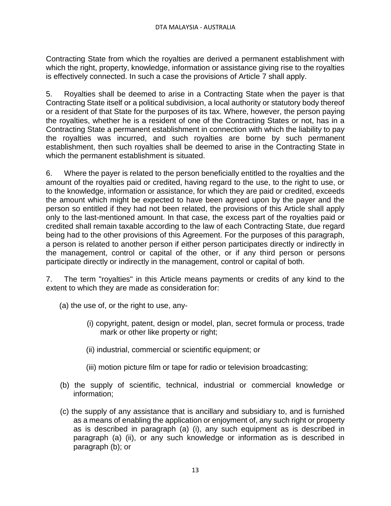Contracting State from which the royalties are derived a permanent establishment with which the right, property, knowledge, information or assistance giving rise to the royalties is effectively connected. In such a case the provisions of Article 7 shall apply.

5. Royalties shall be deemed to arise in a Contracting State when the payer is that Contracting State itself or a political subdivision, a local authority or statutory body thereof or a resident of that State for the purposes of its tax. Where, however, the person paying the royalties, whether he is a resident of one of the Contracting States or not, has in a Contracting State a permanent establishment in connection with which the liability to pay the royalties was incurred, and such royalties are borne by such permanent establishment, then such royalties shall be deemed to arise in the Contracting State in which the permanent establishment is situated.

6. Where the payer is related to the person beneficially entitled to the royalties and the amount of the royalties paid or credited, having regard to the use, to the right to use, or to the knowledge, information or assistance, for which they are paid or credited, exceeds the amount which might be expected to have been agreed upon by the payer and the person so entitled if they had not been related, the provisions of this Article shall apply only to the last-mentioned amount. In that case, the excess part of the royalties paid or credited shall remain taxable according to the law of each Contracting State, due regard being had to the other provisions of this Agreement. For the purposes of this paragraph, a person is related to another person if either person participates directly or indirectly in the management, control or capital of the other, or if any third person or persons participate directly or indirectly in the management, control or capital of both.

7. The term "royalties" in this Article means payments or credits of any kind to the extent to which they are made as consideration for:

- (a) the use of, or the right to use, any-
	- (i) copyright, patent, design or model, plan, secret formula or process, trade mark or other like property or right;
	- (ii) industrial, commercial or scientific equipment; or
	- (iii) motion picture film or tape for radio or television broadcasting;
- (b) the supply of scientific, technical, industrial or commercial knowledge or information;
- (c) the supply of any assistance that is ancillary and subsidiary to, and is furnished as a means of enabling the application or enjoyment of, any such right or property as is described in paragraph (a) (i), any such equipment as is described in paragraph (a) (ii), or any such knowledge or information as is described in paragraph (b); or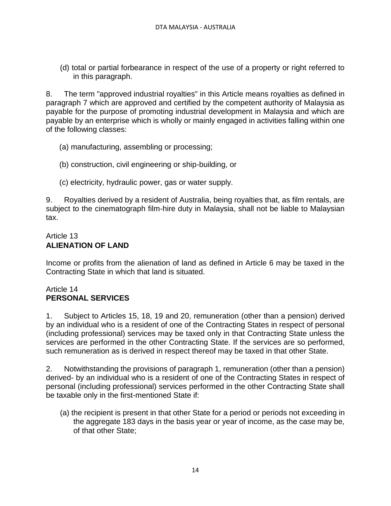(d) total or partial forbearance in respect of the use of a property or right referred to in this paragraph.

8. The term "approved industrial royalties" in this Article means royalties as defined in paragraph 7 which are approved and certified by the competent authority of Malaysia as payable for the purpose of promoting industrial development in Malaysia and which are payable by an enterprise which is wholly or mainly engaged in activities falling within one of the following classes:

- (a) manufacturing, assembling or processing;
- (b) construction, civil engineering or ship-building, or
- (c) electricity, hydraulic power, gas or water supply.

9. Royalties derived by a resident of Australia, being royalties that, as film rentals, are subject to the cinematograph film-hire duty in Malaysia, shall not be liable to Malaysian tax.

# Article 13 **ALIENATION OF LAND**

Income or profits from the alienation of land as defined in Article 6 may be taxed in the Contracting State in which that land is situated.

# Article 14 **PERSONAL SERVICES**

1. Subject to Articles 15, 18, 19 and 20, remuneration (other than a pension) derived by an individual who is a resident of one of the Contracting States in respect of personal (including professional) services may be taxed only in that Contracting State unless the services are performed in the other Contracting State. If the services are so performed, such remuneration as is derived in respect thereof may be taxed in that other State.

2. Notwithstanding the provisions of paragraph 1, remuneration (other than a pension) derived- by an individual who is a resident of one of the Contracting States in respect of personal (including professional) services performed in the other Contracting State shall be taxable only in the first-mentioned State if:

(a) the recipient is present in that other State for a period or periods not exceeding in the aggregate 183 days in the basis year or year of income, as the case may be, of that other State;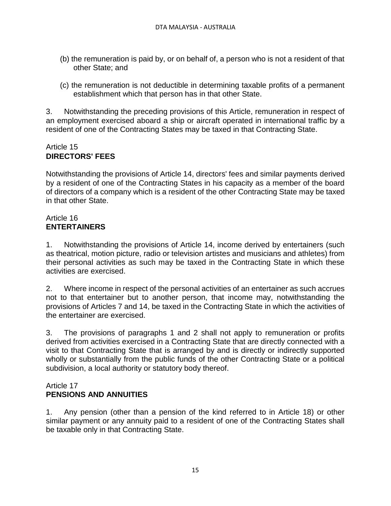- (b) the remuneration is paid by, or on behalf of, a person who is not a resident of that other State; and
- (c) the remuneration is not deductible in determining taxable profits of a permanent establishment which that person has in that other State.

3. Notwithstanding the preceding provisions of this Article, remuneration in respect of an employment exercised aboard a ship or aircraft operated in international traffic by a resident of one of the Contracting States may be taxed in that Contracting State.

# Article 15 **DIRECTORS' FEES**

Notwithstanding the provisions of Article 14, directors' fees and similar payments derived by a resident of one of the Contracting States in his capacity as a member of the board of directors of a company which is a resident of the other Contracting State may be taxed in that other State.

## Article 16 **ENTERTAINERS**

1. Notwithstanding the provisions of Article 14, income derived by entertainers (such as theatrical, motion picture, radio or television artistes and musicians and athletes) from their personal activities as such may be taxed in the Contracting State in which these activities are exercised.

2. Where income in respect of the personal activities of an entertainer as such accrues not to that entertainer but to another person, that income may, notwithstanding the provisions of Articles 7 and 14, be taxed in the Contracting State in which the activities of the entertainer are exercised.

3. The provisions of paragraphs 1 and 2 shall not apply to remuneration or profits derived from activities exercised in a Contracting State that are directly connected with a visit to that Contracting State that is arranged by and is directly or indirectly supported wholly or substantially from the public funds of the other Contracting State or a political subdivision, a local authority or statutory body thereof.

# Article 17 **PENSIONS AND ANNUITIES**

1. Any pension (other than a pension of the kind referred to in Article 18) or other similar payment or any annuity paid to a resident of one of the Contracting States shall be taxable only in that Contracting State.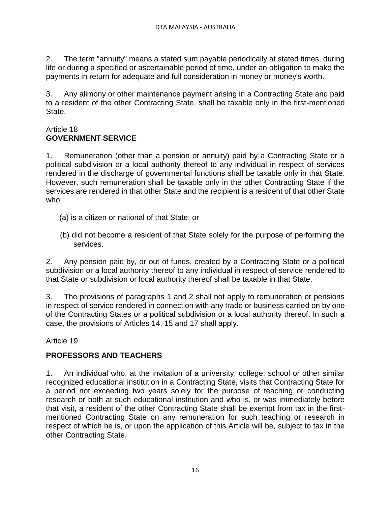2. The term "annuity" means a stated sum payable periodically at stated times, during life or during a specified or ascertainable period of time, under an obligation to make the payments in return for adequate and full consideration in money or money's worth.

3. Any alimony or other maintenance payment arising in a Contracting State and paid to a resident of the other Contracting State, shall be taxable only in the first-mentioned State.

# Article 18 **GOVERNMENT SERVICE**

1. Remuneration (other than a pension or annuity) paid by a Contracting State or a political subdivision or a local authority thereof to any individual in respect of services rendered in the discharge of governmental functions shall be taxable only in that State. However, such remuneration shall be taxable only in the other Contracting State if the services are rendered in that other State and the recipient is a resident of that other State who:

- (a) is a citizen or national of that State; or
- (b) did not become a resident of that State solely for the purpose of performing the services.

2. Any pension paid by, or out of funds, created by a Contracting State or a political subdivision or a local authority thereof to any individual in respect of service rendered to that State or subdivision or local authority thereof shall be taxable in that State.

3. The provisions of paragraphs 1 and 2 shall not apply to remuneration or pensions in respect of service rendered in connection with any trade or business carried on by one of the Contracting States or a political subdivision or a local authority thereof. In such a case, the provisions of Articles 14, 15 and 17 shall apply.

Article 19

# **PROFESSORS AND TEACHERS**

1. An individual who, at the invitation of a university, college, school or other similar recognized educational institution in a Contracting State, visits that Contracting State for a period not exceeding two years solely for the purpose of teaching or conducting research or both at such educational institution and who is, or was immediately before that visit, a resident of the other Contracting State shall be exempt from tax in the firstmentioned Contracting State on any remuneration for such teaching or research in respect of which he is, or upon the application of this Article will be, subject to tax in the other Contracting State.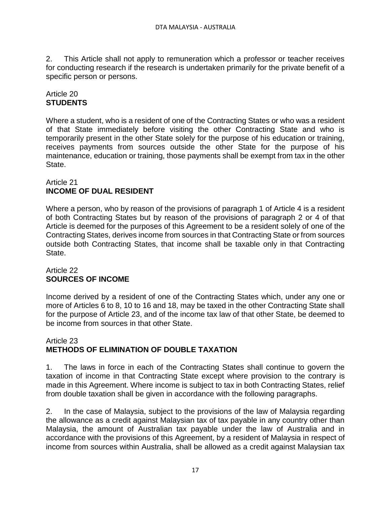2. This Article shall not apply to remuneration which a professor or teacher receives for conducting research if the research is undertaken primarily for the private benefit of a specific person or persons.

# Article 20 **STUDENTS**

Where a student, who is a resident of one of the Contracting States or who was a resident of that State immediately before visiting the other Contracting State and who is temporarily present in the other State solely for the purpose of his education or training, receives payments from sources outside the other State for the purpose of his maintenance, education or training, those payments shall be exempt from tax in the other State.

## Article 21 **INCOME OF DUAL RESIDENT**

Where a person, who by reason of the provisions of paragraph 1 of Article 4 is a resident of both Contracting States but by reason of the provisions of paragraph 2 or 4 of that Article is deemed for the purposes of this Agreement to be a resident solely of one of the Contracting States, derives income from sources in that Contracting State or from sources outside both Contracting States, that income shall be taxable only in that Contracting State.

# Article 22 **SOURCES OF INCOME**

Income derived by a resident of one of the Contracting States which, under any one or more of Articles 6 to 8, 10 to 16 and 18, may be taxed in the other Contracting State shall for the purpose of Article 23, and of the income tax law of that other State, be deemed to be income from sources in that other State.

#### Article 23 **METHODS OF ELIMINATION OF DOUBLE TAXATION**

1. The laws in force in each of the Contracting States shall continue to govern the taxation of income in that Contracting State except where provision to the contrary is made in this Agreement. Where income is subject to tax in both Contracting States, relief from double taxation shall be given in accordance with the following paragraphs.

2. In the case of Malaysia, subject to the provisions of the law of Malaysia regarding the allowance as a credit against Malaysian tax of tax payable in any country other than Malaysia, the amount of Australian tax payable under the law of Australia and in accordance with the provisions of this Agreement, by a resident of Malaysia in respect of income from sources within Australia, shall be allowed as a credit against Malaysian tax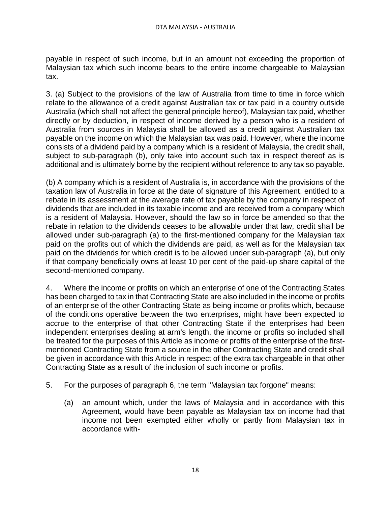payable in respect of such income, but in an amount not exceeding the proportion of Malaysian tax which such income bears to the entire income chargeable to Malaysian tax.

3. (a) Subject to the provisions of the law of Australia from time to time in force which relate to the allowance of a credit against Australian tax or tax paid in a country outside Australia (which shall not affect the general principle hereof), Malaysian tax paid, whether directly or by deduction, in respect of income derived by a person who is a resident of Australia from sources in Malaysia shall be allowed as a credit against Australian tax payable on the income on which the Malaysian tax was paid. However, where the income consists of a dividend paid by a company which is a resident of Malaysia, the credit shall, subject to sub-paragraph (b), only take into account such tax in respect thereof as is additional and is ultimately borne by the recipient without reference to any tax so payable.

(b) A company which is a resident of Australia is, in accordance with the provisions of the taxation law of Australia in force at the date of signature of this Agreement, entitled to a rebate in its assessment at the average rate of tax payable by the company in respect of dividends that are included in its taxable income and are received from a company which is a resident of Malaysia. However, should the law so in force be amended so that the rebate in relation to the dividends ceases to be allowable under that law, credit shall be allowed under sub-paragraph (a) to the first-mentioned company for the Malaysian tax paid on the profits out of which the dividends are paid, as well as for the Malaysian tax paid on the dividends for which credit is to be allowed under sub-paragraph (a), but only if that company beneficially owns at least 10 per cent of the paid-up share capital of the second-mentioned company.

4. Where the income or profits on which an enterprise of one of the Contracting States has been charged to tax in that Contracting State are also included in the income or profits of an enterprise of the other Contracting State as being income or profits which, because of the conditions operative between the two enterprises, might have been expected to accrue to the enterprise of that other Contracting State if the enterprises had been independent enterprises dealing at arm's length, the income or profits so included shall be treated for the purposes of this Article as income or profits of the enterprise of the firstmentioned Contracting State from a source in the other Contracting State and credit shall be given in accordance with this Article in respect of the extra tax chargeable in that other Contracting State as a result of the inclusion of such income or profits.

- 5. For the purposes of paragraph 6, the term "Malaysian tax forgone" means:
	- (a) an amount which, under the laws of Malaysia and in accordance with this Agreement, would have been payable as Malaysian tax on income had that income not been exempted either wholly or partly from Malaysian tax in accordance with-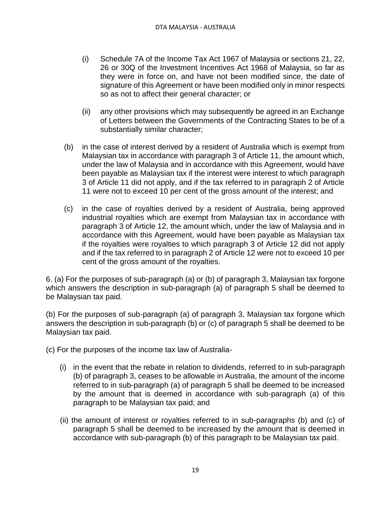- (i) Schedule 7A of the Income Tax Act 1967 of Malaysia or sections 21, 22, 26 or 30Q of the Investment Incentives Act 1968 of Malaysia, so far as they were in force on, and have not been modified since, the date of signature of this Agreement or have been modified only in minor respects so as not to affect their general character; or
- (ii) any other provisions which may subsequently be agreed in an Exchange of Letters between the Governments of the Contracting States to be of a substantially similar character;
- (b) in the case of interest derived by a resident of Australia which is exempt from Malaysian tax in accordance with paragraph 3 of Article 11, the amount which, under the law of Malaysia and in accordance with this Agreement, would have been payable as Malaysian tax if the interest were interest to which paragraph 3 of Article 11 did not apply, and if the tax referred to in paragraph 2 of Article 11 were not to exceed 10 per cent of the gross amount of the interest; and
- (c) in the case of royalties derived by a resident of Australia, being approved industrial royalties which are exempt from Malaysian tax in accordance with paragraph 3 of Article 12, the amount which, under the law of Malaysia and in accordance with this Agreement, would have been payable as Malaysian tax if the royalties were royalties to which paragraph 3 of Article 12 did not apply and if the tax referred to in paragraph 2 of Article 12 were not to exceed 10 per cent of the gross amount of the royalties.

6. (a) For the purposes of sub-paragraph (a) or (b) of paragraph 3, Malaysian tax forgone which answers the description in sub-paragraph (a) of paragraph 5 shall be deemed to be Malaysian tax paid.

(b) For the purposes of sub-paragraph (a) of paragraph 3, Malaysian tax forgone which answers the description in sub-paragraph (b) or (c) of paragraph 5 shall be deemed to be Malaysian tax paid.

(c) For the purposes of the income tax law of Australia-

- (i) in the event that the rebate in relation to dividends, referred to in sub-paragraph (b) of paragraph 3, ceases to be allowable in Australia, the amount of the income referred to in sub-paragraph (a) of paragraph 5 shall be deemed to be increased by the amount that is deemed in accordance with sub-paragraph (a) of this paragraph to be Malaysian tax paid; and
- (ii) the amount of interest or royalties referred to in sub-paragraphs (b) and (c) of paragraph 5 shall be deemed to be increased by the amount that is deemed in accordance with sub-paragraph (b) of this paragraph to be Malaysian tax paid.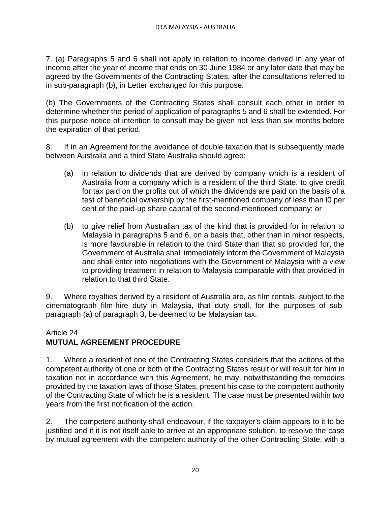7. (a) Paragraphs 5 and 6 shall not apply in relation to income derived in any year of income after the year of income that ends on 30 June 1984 or any later date that may be agreed by the Governments of the Contracting States, after the consultations referred to in sub-paragraph (b), in Letter exchanged for this purpose.

(b) The Governments of the Contracting States shall consult each other in order to determine whether the period of application of paragraphs 5 and 6 shall be extended. For this purpose notice of intention to consult may be given not less than six months before the expiration of that period.

8. If in an Agreement for the avoidance of double taxation that is subsequently made between Australia and a third State Australia should agree:

- (a) in relation to dividends that are derived by company which is a resident of Australia from a company which is a resident of the third State, to give credit for tax paid on the profits out of which the dividends are paid on the basis of a test of beneficial ownership by the first-mentioned company of less than l0 per cent of the paid-up share capital of the second-mentioned company; or
- (b) to give relief from Australian tax of the kind that is provided for in relation to Malaysia in paragraphs 5 and 6, on a basis that, other than in minor respects, is more favourable in relation to the third State than that so provided for, the Government of Australia shall immediately inform the Government of Malaysia and shall enter into negotiations with the Government of Malaysia with a view to providing treatment in relation to Malaysia comparable with that provided in relation to that third State.

9. Where royalties derived by a resident of Australia are, as film rentals, subject to the cinematograph film-hire duty in Malaysia, that duty shall, for the purposes of subparagraph (a) of paragraph 3, be deemed to be Malaysian tax.

# Article 24 **MUTUAL AGREEMENT PROCEDURE**

1. Where a resident of one of the Contracting States considers that the actions of the competent authority of one or both of the Contracting States result or will result for him in taxation not in accordance with this Agreement, he may, notwithstanding the remedies provided by the taxation laws of those States, present his case to the competent authority of the Contracting State of which he is a resident. The case must be presented within two years from the first notification of the action.

2. The competent authority shall endeavour, if the taxpayer's claim appears to it to be justified and if it is not itself able to arrive at an appropriate solution, to resolve the case by mutual agreement with the competent authority of the other Contracting State, with a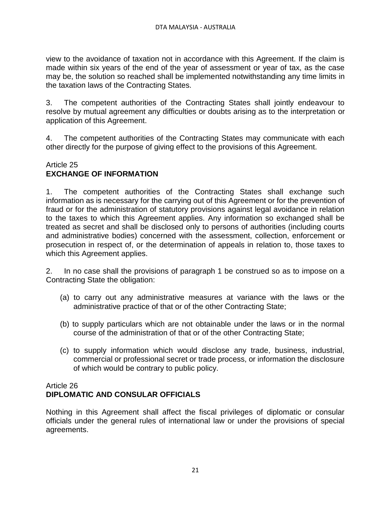view to the avoidance of taxation not in accordance with this Agreement. If the claim is made within six years of the end of the year of assessment or year of tax, as the case may be, the solution so reached shall be implemented notwithstanding any time limits in the taxation laws of the Contracting States.

3. The competent authorities of the Contracting States shall jointly endeavour to resolve by mutual agreement any difficulties or doubts arising as to the interpretation or application of this Agreement.

4. The competent authorities of the Contracting States may communicate with each other directly for the purpose of giving effect to the provisions of this Agreement.

# Article 25 **EXCHANGE OF INFORMATION**

1. The competent authorities of the Contracting States shall exchange such information as is necessary for the carrying out of this Agreement or for the prevention of fraud or for the administration of statutory provisions against legal avoidance in relation to the taxes to which this Agreement applies. Any information so exchanged shall be treated as secret and shall be disclosed only to persons of authorities (including courts and administrative bodies) concerned with the assessment, collection, enforcement or prosecution in respect of, or the determination of appeals in relation to, those taxes to which this Agreement applies.

2. In no case shall the provisions of paragraph 1 be construed so as to impose on a Contracting State the obligation:

- (a) to carry out any administrative measures at variance with the laws or the administrative practice of that or of the other Contracting State;
- (b) to supply particulars which are not obtainable under the laws or in the normal course of the administration of that or of the other Contracting State;
- (c) to supply information which would disclose any trade, business, industrial, commercial or professional secret or trade process, or information the disclosure of which would be contrary to public policy.

# Article 26 **DIPLOMATIC AND CONSULAR OFFICIALS**

Nothing in this Agreement shall affect the fiscal privileges of diplomatic or consular officials under the general rules of international law or under the provisions of special agreements.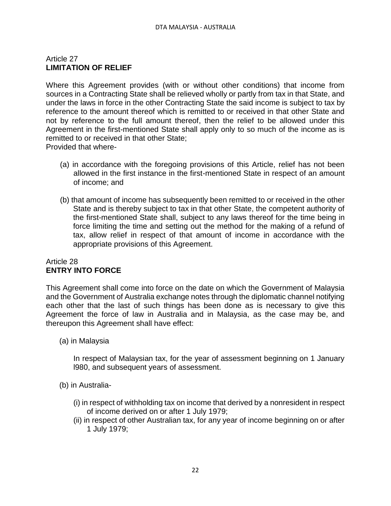# Article 27 **LIMITATION OF RELIEF**

Where this Agreement provides (with or without other conditions) that income from sources in a Contracting State shall be relieved wholly or partly from tax in that State, and under the laws in force in the other Contracting State the said income is subject to tax by reference to the amount thereof which is remitted to or received in that other State and not by reference to the full amount thereof, then the relief to be allowed under this Agreement in the first-mentioned State shall apply only to so much of the income as is remitted to or received in that other State; Provided that where-

(a) in accordance with the foregoing provisions of this Article, relief has not been allowed in the first instance in the first-mentioned State in respect of an amount of income; and

(b) that amount of income has subsequently been remitted to or received in the other State and is thereby subject to tax in that other State, the competent authority of the first-mentioned State shall, subject to any laws thereof for the time being in force limiting the time and setting out the method for the making of a refund of tax, allow relief in respect of that amount of income in accordance with the appropriate provisions of this Agreement.

# Article 28 **ENTRY INTO FORCE**

This Agreement shall come into force on the date on which the Government of Malaysia and the Government of Australia exchange notes through the diplomatic channel notifying each other that the last of such things has been done as is necessary to give this Agreement the force of law in Australia and in Malaysia, as the case may be, and thereupon this Agreement shall have effect:

(a) in Malaysia

In respect of Malaysian tax, for the year of assessment beginning on 1 January l980, and subsequent years of assessment.

- (b) in Australia-
	- (i) in respect of withholding tax on income that derived by a nonresident in respect of income derived on or after 1 July 1979;
	- (ii) in respect of other Australian tax, for any year of income beginning on or after 1 July 1979;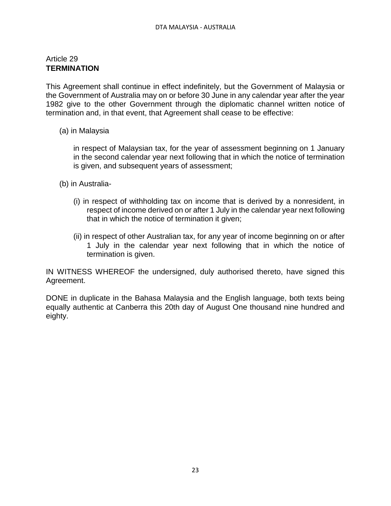# Article 29 **TERMINATION**

This Agreement shall continue in effect indefinitely, but the Government of Malaysia or the Government of Australia may on or before 30 June in any calendar year after the year 1982 give to the other Government through the diplomatic channel written notice of termination and, in that event, that Agreement shall cease to be effective:

#### (a) in Malaysia

in respect of Malaysian tax, for the year of assessment beginning on 1 January in the second calendar year next following that in which the notice of termination is given, and subsequent years of assessment;

- (b) in Australia-
	- (i) in respect of withholding tax on income that is derived by a nonresident, in respect of income derived on or after 1 July in the calendar year next following that in which the notice of termination it given;
	- (ii) in respect of other Australian tax, for any year of income beginning on or after 1 July in the calendar year next following that in which the notice of termination is given.

IN WITNESS WHEREOF the undersigned, duly authorised thereto, have signed this Agreement.

DONE in duplicate in the Bahasa Malaysia and the English language, both texts being equally authentic at Canberra this 20th day of August One thousand nine hundred and eighty.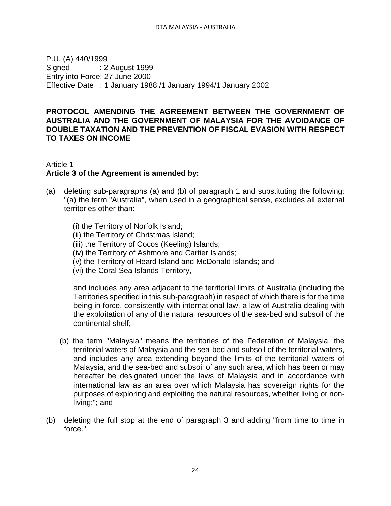<span id="page-23-0"></span>P.U. (A) 440/1999 Signed : 2 August 1999 Entry into Force: 27 June 2000 Effective Date : 1 January 1988 /1 January 1994/1 January 2002

### **PROTOCOL AMENDING THE AGREEMENT BETWEEN THE GOVERNMENT OF AUSTRALIA AND THE GOVERNMENT OF MALAYSIA FOR THE AVOIDANCE OF DOUBLE TAXATION AND THE PREVENTION OF FISCAL EVASION WITH RESPECT TO TAXES ON INCOME**

# Article 1 **Article 3 of the Agreement is amended by:**

- (a) deleting sub-paragraphs (a) and (b) of paragraph 1 and substituting the following: "(a) the term "Australia", when used in a geographical sense, excludes all external territories other than:
	- (i) the Territory of Norfolk Island;
	- (ii) the Territory of Christmas Island;
	- (iii) the Territory of Cocos (Keeling) Islands;
	- (iv) the Territory of Ashmore and Cartier Islands;
	- (v) the Territory of Heard Island and McDonald Islands; and
	- (vi) the Coral Sea Islands Territory,

and includes any area adjacent to the territorial limits of Australia (including the Territories specified in this sub-paragraph) in respect of which there is for the time being in force, consistently with international law, a law of Australia dealing with the exploitation of any of the natural resources of the sea-bed and subsoil of the continental shelf;

- (b) the term "Malaysia" means the territories of the Federation of Malaysia, the territorial waters of Malaysia and the sea-bed and subsoil of the territorial waters, and includes any area extending beyond the limits of the territorial waters of Malaysia, and the sea-bed and subsoil of any such area, which has been or may hereafter be designated under the laws of Malaysia and in accordance with international law as an area over which Malaysia has sovereign rights for the purposes of exploring and exploiting the natural resources, whether living or nonliving;"; and
- (b) deleting the full stop at the end of paragraph 3 and adding "from time to time in force.".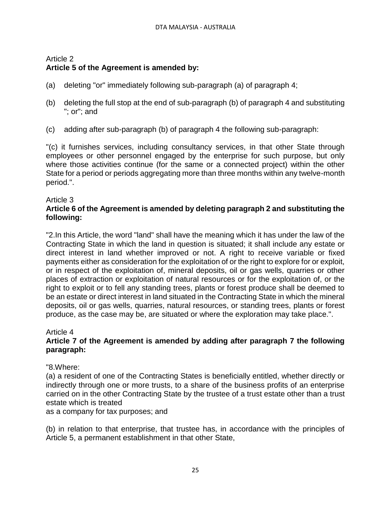# Article 2 **Article 5 of the Agreement is amended by:**

- (a) deleting "or" immediately following sub-paragraph (a) of paragraph 4;
- (b) deleting the full stop at the end of sub-paragraph (b) of paragraph 4 and substituting "; or"; and
- (c) adding after sub-paragraph (b) of paragraph 4 the following sub-paragraph:

"(c) it furnishes services, including consultancy services, in that other State through employees or other personnel engaged by the enterprise for such purpose, but only where those activities continue (for the same or a connected project) within the other State for a period or periods aggregating more than three months within any twelve-month period.".

### Article 3

### **Article 6 of the Agreement is amended by deleting paragraph 2 and substituting the following:**

"2.In this Article, the word "land" shall have the meaning which it has under the law of the Contracting State in which the land in question is situated; it shall include any estate or direct interest in land whether improved or not. A right to receive variable or fixed payments either as consideration for the exploitation of or the right to explore for or exploit, or in respect of the exploitation of, mineral deposits, oil or gas wells, quarries or other places of extraction or exploitation of natural resources or for the exploitation of, or the right to exploit or to fell any standing trees, plants or forest produce shall be deemed to be an estate or direct interest in land situated in the Contracting State in which the mineral deposits, oil or gas wells, quarries, natural resources, or standing trees, plants or forest produce, as the case may be, are situated or where the exploration may take place.".

### Article 4

# **Article 7 of the Agreement is amended by adding after paragraph 7 the following paragraph:**

"8.Where:

(a) a resident of one of the Contracting States is beneficially entitled, whether directly or indirectly through one or more trusts, to a share of the business profits of an enterprise carried on in the other Contracting State by the trustee of a trust estate other than a trust estate which is treated

as a company for tax purposes; and

(b) in relation to that enterprise, that trustee has, in accordance with the principles of Article 5, a permanent establishment in that other State,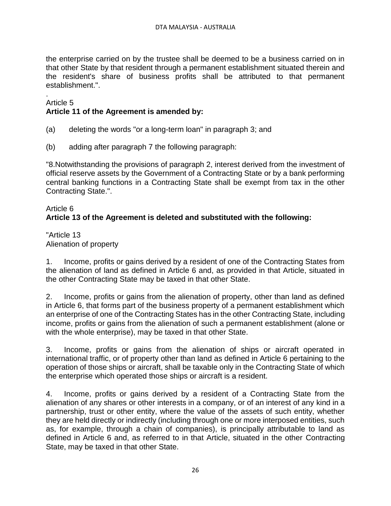the enterprise carried on by the trustee shall be deemed to be a business carried on in that other State by that resident through a permanent establishment situated therein and the resident's share of business profits shall be attributed to that permanent establishment.".

### . Article 5 **Article 11 of the Agreement is amended by:**

- (a) deleting the words "or a long-term loan" in paragraph 3; and
- (b) adding after paragraph 7 the following paragraph:

"8.Notwithstanding the provisions of paragraph 2, interest derived from the investment of official reserve assets by the Government of a Contracting State or by a bank performing central banking functions in a Contracting State shall be exempt from tax in the other Contracting State.".

# Article 6 **Article 13 of the Agreement is deleted and substituted with the following:**

"Article 13 Alienation of property

1. Income, profits or gains derived by a resident of one of the Contracting States from the alienation of land as defined in Article 6 and, as provided in that Article, situated in the other Contracting State may be taxed in that other State.

2. Income, profits or gains from the alienation of property, other than land as defined in Article 6, that forms part of the business property of a permanent establishment which an enterprise of one of the Contracting States has in the other Contracting State, including income, profits or gains from the alienation of such a permanent establishment (alone or with the whole enterprise), may be taxed in that other State.

3. Income, profits or gains from the alienation of ships or aircraft operated in international traffic, or of property other than land as defined in Article 6 pertaining to the operation of those ships or aircraft, shall be taxable only in the Contracting State of which the enterprise which operated those ships or aircraft is a resident.

4. Income, profits or gains derived by a resident of a Contracting State from the alienation of any shares or other interests in a company, or of an interest of any kind in a partnership, trust or other entity, where the value of the assets of such entity, whether they are held directly or indirectly (including through one or more interposed entities, such as, for example, through a chain of companies), is principally attributable to land as defined in Article 6 and, as referred to in that Article, situated in the other Contracting State, may be taxed in that other State.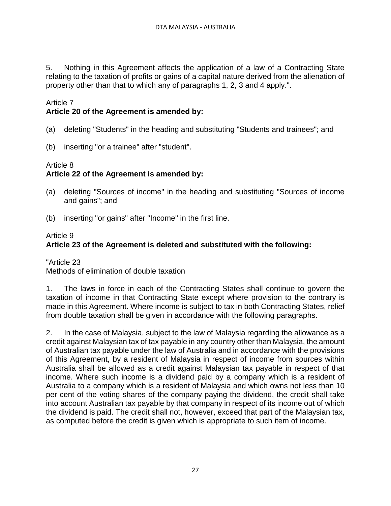5. Nothing in this Agreement affects the application of a law of a Contracting State relating to the taxation of profits or gains of a capital nature derived from the alienation of property other than that to which any of paragraphs 1, 2, 3 and 4 apply.".

# Article 7

# **Article 20 of the Agreement is amended by:**

- (a) deleting "Students" in the heading and substituting "Students and trainees"; and
- (b) inserting "or a trainee" after "student".

# Article 8 **Article 22 of the Agreement is amended by:**

- (a) deleting "Sources of income" in the heading and substituting "Sources of income and gains"; and
- (b) inserting "or gains" after "Income" in the first line.

# Article 9

# **Article 23 of the Agreement is deleted and substituted with the following:**

### "Article 23

Methods of elimination of double taxation

1. The laws in force in each of the Contracting States shall continue to govern the taxation of income in that Contracting State except where provision to the contrary is made in this Agreement. Where income is subject to tax in both Contracting States, relief from double taxation shall be given in accordance with the following paragraphs.

2. In the case of Malaysia, subject to the law of Malaysia regarding the allowance as a credit against Malaysian tax of tax payable in any country other than Malaysia, the amount of Australian tax payable under the law of Australia and in accordance with the provisions of this Agreement, by a resident of Malaysia in respect of income from sources within Australia shall be allowed as a credit against Malaysian tax payable in respect of that income. Where such income is a dividend paid by a company which is a resident of Australia to a company which is a resident of Malaysia and which owns not less than 10 per cent of the voting shares of the company paying the dividend, the credit shall take into account Australian tax payable by that company in respect of its income out of which the dividend is paid. The credit shall not, however, exceed that part of the Malaysian tax, as computed before the credit is given which is appropriate to such item of income.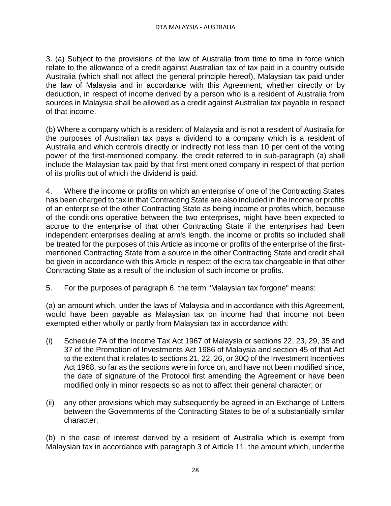3. (a) Subject to the provisions of the law of Australia from time to time in force which relate to the allowance of a credit against Australian tax of tax paid in a country outside Australia (which shall not affect the general principle hereof), Malaysian tax paid under the law of Malaysia and in accordance with this Agreement, whether directly or by deduction, in respect of income derived by a person who is a resident of Australia from sources in Malaysia shall be allowed as a credit against Australian tax payable in respect of that income.

(b) Where a company which is a resident of Malaysia and is not a resident of Australia for the purposes of Australian tax pays a dividend to a company which is a resident of Australia and which controls directly or indirectly not less than 10 per cent of the voting power of the first-mentioned company, the credit referred to in sub-paragraph (a) shall include the Malaysian tax paid by that first-mentioned company in respect of that portion of its profits out of which the dividend is paid.

4. Where the income or profits on which an enterprise of one of the Contracting States has been charged to tax in that Contracting State are also included in the income or profits of an enterprise of the other Contracting State as being income or profits which, because of the conditions operative between the two enterprises, might have been expected to accrue to the enterprise of that other Contracting State if the enterprises had been independent enterprises dealing at arm's length, the income or profits so included shall be treated for the purposes of this Article as income or profits of the enterprise of the firstmentioned Contracting State from a source in the other Contracting State and credit shall be given in accordance with this Article in respect of the extra tax chargeable in that other Contracting State as a result of the inclusion of such income or profits.

5. For the purposes of paragraph 6, the term "Malaysian tax forgone" means:

(a) an amount which, under the laws of Malaysia and in accordance with this Agreement, would have been payable as Malaysian tax on income had that income not been exempted either wholly or partly from Malaysian tax in accordance with:

- (i) Schedule 7A of the Income Tax Act 1967 of Malaysia or sections 22, 23, 29, 35 and 37 of the Promotion of Investments Act 1986 of Malaysia and section 45 of that Act to the extent that it relates to sections 21, 22, 26, or 30Q of the Investment Incentives Act 1968, so far as the sections were in force on, and have not been modified since, the date of signature of the Protocol first amending the Agreement or have been modified only in minor respects so as not to affect their general character; or
- (ii) any other provisions which may subsequently be agreed in an Exchange of Letters between the Governments of the Contracting States to be of a substantially similar character;

(b) in the case of interest derived by a resident of Australia which is exempt from Malaysian tax in accordance with paragraph 3 of Article 11, the amount which, under the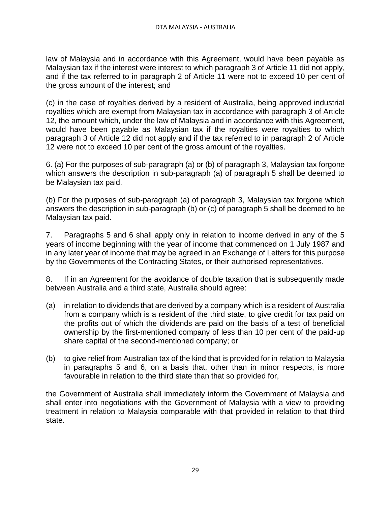law of Malaysia and in accordance with this Agreement, would have been payable as Malaysian tax if the interest were interest to which paragraph 3 of Article 11 did not apply, and if the tax referred to in paragraph 2 of Article 11 were not to exceed 10 per cent of the gross amount of the interest; and

(c) in the case of royalties derived by a resident of Australia, being approved industrial royalties which are exempt from Malaysian tax in accordance with paragraph 3 of Article 12, the amount which, under the law of Malaysia and in accordance with this Agreement, would have been payable as Malaysian tax if the royalties were royalties to which paragraph 3 of Article 12 did not apply and if the tax referred to in paragraph 2 of Article 12 were not to exceed 10 per cent of the gross amount of the royalties.

6. (a) For the purposes of sub-paragraph (a) or (b) of paragraph 3, Malaysian tax forgone which answers the description in sub-paragraph (a) of paragraph 5 shall be deemed to be Malaysian tax paid.

(b) For the purposes of sub-paragraph (a) of paragraph 3, Malaysian tax forgone which answers the description in sub-paragraph (b) or (c) of paragraph 5 shall be deemed to be Malaysian tax paid.

7. Paragraphs 5 and 6 shall apply only in relation to income derived in any of the 5 years of income beginning with the year of income that commenced on 1 July 1987 and in any later year of income that may be agreed in an Exchange of Letters for this purpose by the Governments of the Contracting States, or their authorised representatives.

8. If in an Agreement for the avoidance of double taxation that is subsequently made between Australia and a third state, Australia should agree:

- (a) in relation to dividends that are derived by a company which is a resident of Australia from a company which is a resident of the third state, to give credit for tax paid on the profits out of which the dividends are paid on the basis of a test of beneficial ownership by the first-mentioned company of less than 10 per cent of the paid-up share capital of the second-mentioned company; or
- (b) to give relief from Australian tax of the kind that is provided for in relation to Malaysia in paragraphs 5 and 6, on a basis that, other than in minor respects, is more favourable in relation to the third state than that so provided for,

the Government of Australia shall immediately inform the Government of Malaysia and shall enter into negotiations with the Government of Malaysia with a view to providing treatment in relation to Malaysia comparable with that provided in relation to that third state.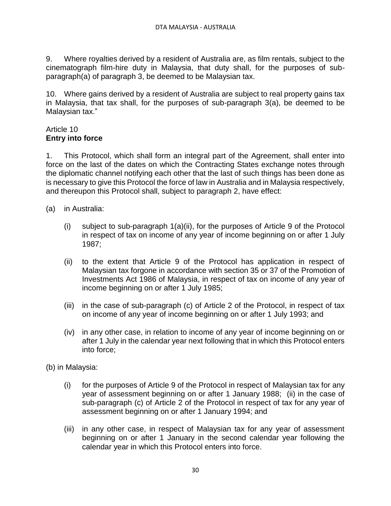9. Where royalties derived by a resident of Australia are, as film rentals, subject to the cinematograph film-hire duty in Malaysia, that duty shall, for the purposes of subparagraph(a) of paragraph 3, be deemed to be Malaysian tax.

10. Where gains derived by a resident of Australia are subject to real property gains tax in Malaysia, that tax shall, for the purposes of sub-paragraph 3(a), be deemed to be Malaysian tax."

# Article 10 **Entry into force**

1. This Protocol, which shall form an integral part of the Agreement, shall enter into force on the last of the dates on which the Contracting States exchange notes through the diplomatic channel notifying each other that the last of such things has been done as is necessary to give this Protocol the force of law in Australia and in Malaysia respectively, and thereupon this Protocol shall, subject to paragraph 2, have effect:

- (a) in Australia:
	- (i) subject to sub-paragraph 1(a)(ii), for the purposes of Article 9 of the Protocol in respect of tax on income of any year of income beginning on or after 1 July 1987;
	- (ii) to the extent that Article 9 of the Protocol has application in respect of Malaysian tax forgone in accordance with section 35 or 37 of the Promotion of Investments Act 1986 of Malaysia, in respect of tax on income of any year of income beginning on or after 1 July 1985;
	- (iii) in the case of sub-paragraph (c) of Article 2 of the Protocol, in respect of tax on income of any year of income beginning on or after 1 July 1993; and
	- (iv) in any other case, in relation to income of any year of income beginning on or after 1 July in the calendar year next following that in which this Protocol enters into force;

(b) in Malaysia:

- (i) for the purposes of Article 9 of the Protocol in respect of Malaysian tax for any year of assessment beginning on or after 1 January 1988; (ii) in the case of sub-paragraph (c) of Article 2 of the Protocol in respect of tax for any year of assessment beginning on or after 1 January 1994; and
- (iii) in any other case, in respect of Malaysian tax for any year of assessment beginning on or after 1 January in the second calendar year following the calendar year in which this Protocol enters into force.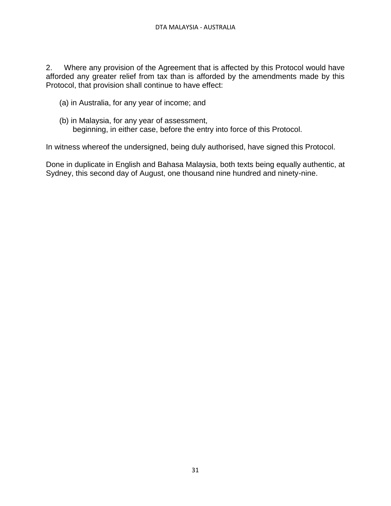2. Where any provision of the Agreement that is affected by this Protocol would have afforded any greater relief from tax than is afforded by the amendments made by this Protocol, that provision shall continue to have effect:

- (a) in Australia, for any year of income; and
- (b) in Malaysia, for any year of assessment, beginning, in either case, before the entry into force of this Protocol.

In witness whereof the undersigned, being duly authorised, have signed this Protocol.

Done in duplicate in English and Bahasa Malaysia, both texts being equally authentic, at Sydney, this second day of August, one thousand nine hundred and ninety-nine.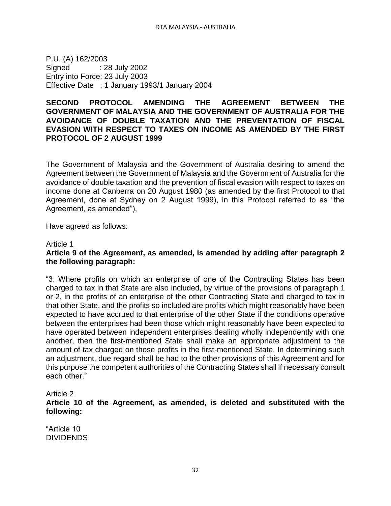<span id="page-31-0"></span>P.U. (A) 162/2003 Signed : 28 July 2002 Entry into Force: 23 July 2003 Effective Date : 1 January 1993/1 January 2004

### **SECOND PROTOCOL AMENDING THE AGREEMENT BETWEEN THE GOVERNMENT OF MALAYSIA AND THE GOVERNMENT OF AUSTRALIA FOR THE AVOIDANCE OF DOUBLE TAXATION AND THE PREVENTATION OF FISCAL EVASION WITH RESPECT TO TAXES ON INCOME AS AMENDED BY THE FIRST PROTOCOL OF 2 AUGUST 1999**

The Government of Malaysia and the Government of Australia desiring to amend the Agreement between the Government of Malaysia and the Government of Australia for the avoidance of double taxation and the prevention of fiscal evasion with respect to taxes on income done at Canberra on 20 August 1980 (as amended by the first Protocol to that Agreement, done at Sydney on 2 August 1999), in this Protocol referred to as "the Agreement, as amended"),

Have agreed as follows:

#### Article 1

### **Article 9 of the Agreement, as amended, is amended by adding after paragraph 2 the following paragraph:**

"3. Where profits on which an enterprise of one of the Contracting States has been charged to tax in that State are also included, by virtue of the provisions of paragraph 1 or 2, in the profits of an enterprise of the other Contracting State and charged to tax in that other State, and the profits so included are profits which might reasonably have been expected to have accrued to that enterprise of the other State if the conditions operative between the enterprises had been those which might reasonably have been expected to have operated between independent enterprises dealing wholly independently with one another, then the first-mentioned State shall make an appropriate adjustment to the amount of tax charged on those profits in the first-mentioned State. In determining such an adjustment, due regard shall be had to the other provisions of this Agreement and for this purpose the competent authorities of the Contracting States shall if necessary consult each other."

#### Article 2

**Article 10 of the Agreement, as amended, is deleted and substituted with the following:** 

"Article 10 DIVIDENDS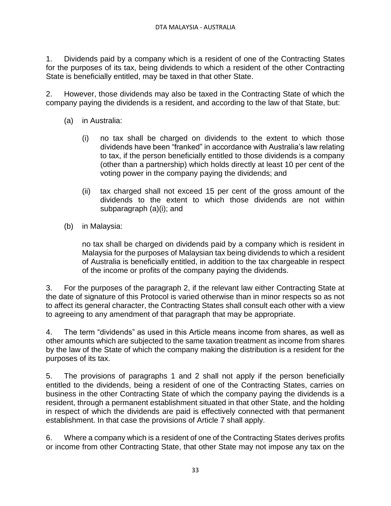1. Dividends paid by a company which is a resident of one of the Contracting States for the purposes of its tax, being dividends to which a resident of the other Contracting State is beneficially entitled, may be taxed in that other State.

2. However, those dividends may also be taxed in the Contracting State of which the company paying the dividends is a resident, and according to the law of that State, but:

- (a) in Australia:
	- (i) no tax shall be charged on dividends to the extent to which those dividends have been "franked" in accordance with Australia's law relating to tax, if the person beneficially entitled to those dividends is a company (other than a partnership) which holds directly at least 10 per cent of the voting power in the company paying the dividends; and
	- (ii) tax charged shall not exceed 15 per cent of the gross amount of the dividends to the extent to which those dividends are not within subparagraph (a)(i); and
- (b) in Malaysia:

no tax shall be charged on dividends paid by a company which is resident in Malaysia for the purposes of Malaysian tax being dividends to which a resident of Australia is beneficially entitled, in addition to the tax chargeable in respect of the income or profits of the company paying the dividends.

3. For the purposes of the paragraph 2, if the relevant law either Contracting State at the date of signature of this Protocol is varied otherwise than in minor respects so as not to affect its general character, the Contracting States shall consult each other with a view to agreeing to any amendment of that paragraph that may be appropriate.

4. The term "dividends" as used in this Article means income from shares, as well as other amounts which are subjected to the same taxation treatment as income from shares by the law of the State of which the company making the distribution is a resident for the purposes of its tax.

5. The provisions of paragraphs 1 and 2 shall not apply if the person beneficially entitled to the dividends, being a resident of one of the Contracting States, carries on business in the other Contracting State of which the company paying the dividends is a resident, through a permanent establishment situated in that other State, and the holding in respect of which the dividends are paid is effectively connected with that permanent establishment. In that case the provisions of Article 7 shall apply.

6. Where a company which is a resident of one of the Contracting States derives profits or income from other Contracting State, that other State may not impose any tax on the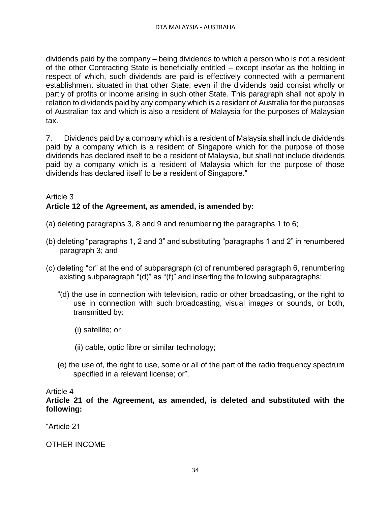dividends paid by the company – being dividends to which a person who is not a resident of the other Contracting State is beneficially entitled – except insofar as the holding in respect of which, such dividends are paid is effectively connected with a permanent establishment situated in that other State, even if the dividends paid consist wholly or partly of profits or income arising in such other State. This paragraph shall not apply in relation to dividends paid by any company which is a resident of Australia for the purposes of Australian tax and which is also a resident of Malaysia for the purposes of Malaysian tax.

7. Dividends paid by a company which is a resident of Malaysia shall include dividends paid by a company which is a resident of Singapore which for the purpose of those dividends has declared itself to be a resident of Malaysia, but shall not include dividends paid by a company which is a resident of Malaysia which for the purpose of those dividends has declared itself to be a resident of Singapore."

### Article 3 **Article 12 of the Agreement, as amended, is amended by:**

- (a) deleting paragraphs 3, 8 and 9 and renumbering the paragraphs 1 to 6;
- (b) deleting "paragraphs 1, 2 and 3" and substituting "paragraphs 1 and 2" in renumbered paragraph 3; and
- (c) deleting "or" at the end of subparagraph (c) of renumbered paragraph 6, renumbering existing subparagraph "(d)" as "(f)" and inserting the following subparagraphs:
	- "(d) the use in connection with television, radio or other broadcasting, or the right to use in connection with such broadcasting, visual images or sounds, or both, transmitted by:
		- (i) satellite; or
		- (ii) cable, optic fibre or similar technology;
	- (e) the use of, the right to use, some or all of the part of the radio frequency spectrum specified in a relevant license; or".

Article 4

**Article 21 of the Agreement, as amended, is deleted and substituted with the following:** 

"Article 21

OTHER INCOME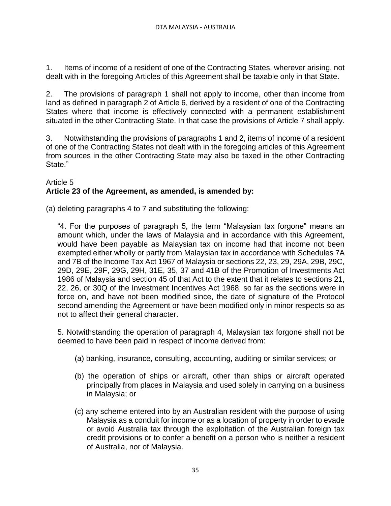1. Items of income of a resident of one of the Contracting States, wherever arising, not dealt with in the foregoing Articles of this Agreement shall be taxable only in that State.

2. The provisions of paragraph 1 shall not apply to income, other than income from land as defined in paragraph 2 of Article 6, derived by a resident of one of the Contracting States where that income is effectively connected with a permanent establishment situated in the other Contracting State. In that case the provisions of Article 7 shall apply.

3. Notwithstanding the provisions of paragraphs 1 and 2, items of income of a resident of one of the Contracting States not dealt with in the foregoing articles of this Agreement from sources in the other Contracting State may also be taxed in the other Contracting State."

### Article 5 **Article 23 of the Agreement, as amended, is amended by:**

(a) deleting paragraphs 4 to 7 and substituting the following:

"4. For the purposes of paragraph 5, the term "Malaysian tax forgone" means an amount which, under the laws of Malaysia and in accordance with this Agreement, would have been payable as Malaysian tax on income had that income not been exempted either wholly or partly from Malaysian tax in accordance with Schedules 7A and 7B of the Income Tax Act 1967 of Malaysia or sections 22, 23, 29, 29A, 29B, 29C, 29D, 29E, 29F, 29G, 29H, 31E, 35, 37 and 41B of the Promotion of Investments Act 1986 of Malaysia and section 45 of that Act to the extent that it relates to sections 21, 22, 26, or 30Q of the Investment Incentives Act 1968, so far as the sections were in force on, and have not been modified since, the date of signature of the Protocol second amending the Agreement or have been modified only in minor respects so as not to affect their general character.

5. Notwithstanding the operation of paragraph 4, Malaysian tax forgone shall not be deemed to have been paid in respect of income derived from:

- (a) banking, insurance, consulting, accounting, auditing or similar services; or
- (b) the operation of ships or aircraft, other than ships or aircraft operated principally from places in Malaysia and used solely in carrying on a business in Malaysia; or
- (c) any scheme entered into by an Australian resident with the purpose of using Malaysia as a conduit for income or as a location of property in order to evade or avoid Australia tax through the exploitation of the Australian foreign tax credit provisions or to confer a benefit on a person who is neither a resident of Australia, nor of Malaysia.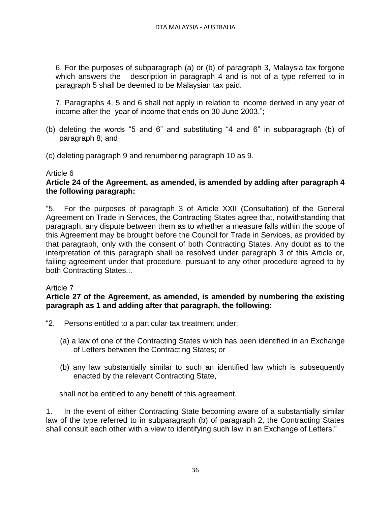6. For the purposes of subparagraph (a) or (b) of paragraph 3, Malaysia tax forgone which answers the description in paragraph 4 and is not of a type referred to in paragraph 5 shall be deemed to be Malaysian tax paid.

7. Paragraphs 4, 5 and 6 shall not apply in relation to income derived in any year of income after the year of income that ends on 30 June 2003.";

- (b) deleting the words "5 and 6" and substituting "4 and 6" in subparagraph (b) of paragraph 8; and
- (c) deleting paragraph 9 and renumbering paragraph 10 as 9.

# Article 6

# **Article 24 of the Agreement, as amended, is amended by adding after paragraph 4 the following paragraph:**

"5. For the purposes of paragraph 3 of Article XXII (Consultation) of the General Agreement on Trade in Services, the Contracting States agree that, notwithstanding that paragraph, any dispute between them as to whether a measure falls within the scope of this Agreement may be brought before the Council for Trade in Services, as provided by that paragraph, only with the consent of both Contracting States. Any doubt as to the interpretation of this paragraph shall be resolved under paragraph 3 of this Article or, failing agreement under that procedure, pursuant to any other procedure agreed to by both Contracting States.:.

### Article 7

# **Article 27 of the Agreement, as amended, is amended by numbering the existing paragraph as 1 and adding after that paragraph, the following:**

- "2. Persons entitled to a particular tax treatment under:
	- (a) a law of one of the Contracting States which has been identified in an Exchange of Letters between the Contracting States; or
	- (b) any law substantially similar to such an identified law which is subsequently enacted by the relevant Contracting State,

shall not be entitled to any benefit of this agreement.

1. In the event of either Contracting State becoming aware of a substantially similar law of the type referred to in subparagraph (b) of paragraph 2, the Contracting States shall consult each other with a view to identifying such law in an Exchange of Letters."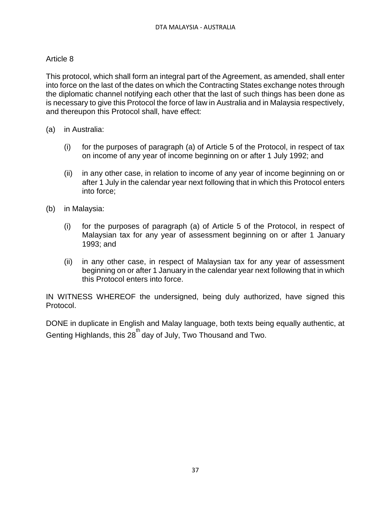# Article 8

This protocol, which shall form an integral part of the Agreement, as amended, shall enter into force on the last of the dates on which the Contracting States exchange notes through the diplomatic channel notifying each other that the last of such things has been done as is necessary to give this Protocol the force of law in Australia and in Malaysia respectively, and thereupon this Protocol shall, have effect:

- (a) in Australia:
	- (i) for the purposes of paragraph (a) of Article 5 of the Protocol, in respect of tax on income of any year of income beginning on or after 1 July 1992; and
	- (ii) in any other case, in relation to income of any year of income beginning on or after 1 July in the calendar year next following that in which this Protocol enters into force;
- (b) in Malaysia:
	- (i) for the purposes of paragraph (a) of Article 5 of the Protocol, in respect of Malaysian tax for any year of assessment beginning on or after 1 January 1993; and
	- (ii) in any other case, in respect of Malaysian tax for any year of assessment beginning on or after 1 January in the calendar year next following that in which this Protocol enters into force.

IN WITNESS WHEREOF the undersigned, being duly authorized, have signed this Protocol.

DONE in duplicate in English and Malay language, both texts being equally authentic, at Genting Highlands, this 28 $^{\text{th}}$ day of July, Two Thousand and Two.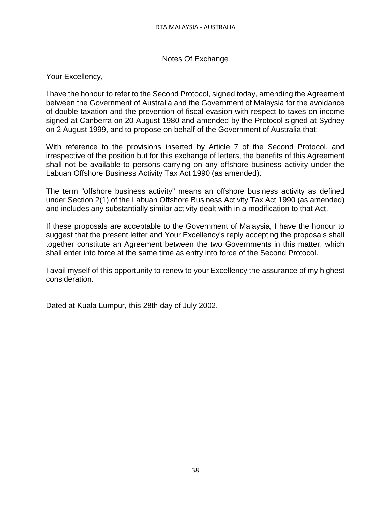## Notes Of Exchange

Your Excellency,

I have the honour to refer to the Second Protocol, signed today, amending the Agreement between the Government of Australia and the Government of Malaysia for the avoidance of double taxation and the prevention of fiscal evasion with respect to taxes on income signed at Canberra on 20 August 1980 and amended by the Protocol signed at Sydney on 2 August 1999, and to propose on behalf of the Government of Australia that:

With reference to the provisions inserted by Article 7 of the Second Protocol, and irrespective of the position but for this exchange of letters, the benefits of this Agreement shall not be available to persons carrying on any offshore business activity under the Labuan Offshore Business Activity Tax Act 1990 (as amended).

The term "offshore business activity" means an offshore business activity as defined under Section 2(1) of the Labuan Offshore Business Activity Tax Act 1990 (as amended) and includes any substantially similar activity dealt with in a modification to that Act.

If these proposals are acceptable to the Government of Malaysia, I have the honour to suggest that the present letter and Your Excellency's reply accepting the proposals shall together constitute an Agreement between the two Governments in this matter, which shall enter into force at the same time as entry into force of the Second Protocol.

I avail myself of this opportunity to renew to your Excellency the assurance of my highest consideration.

Dated at Kuala Lumpur, this 28th day of July 2002.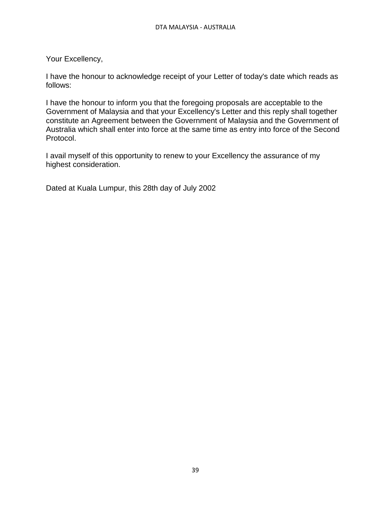Your Excellency,

I have the honour to acknowledge receipt of your Letter of today's date which reads as follows:

I have the honour to inform you that the foregoing proposals are acceptable to the Government of Malaysia and that your Excellency's Letter and this reply shall together constitute an Agreement between the Government of Malaysia and the Government of Australia which shall enter into force at the same time as entry into force of the Second Protocol.

I avail myself of this opportunity to renew to your Excellency the assurance of my highest consideration.

Dated at Kuala Lumpur, this 28th day of July 2002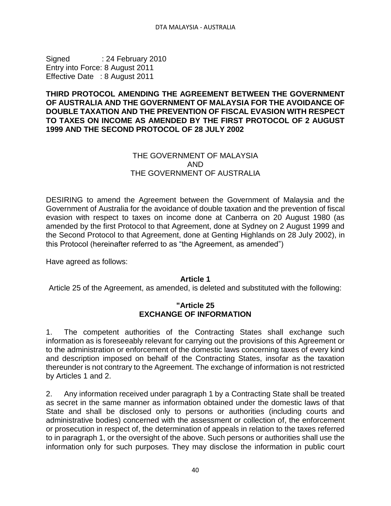<span id="page-39-0"></span>Signed : 24 February 2010 Entry into Force: 8 August 2011 Effective Date : 8 August 2011

### **THIRD PROTOCOL AMENDING THE AGREEMENT BETWEEN THE GOVERNMENT OF AUSTRALIA AND THE GOVERNMENT OF MALAYSIA FOR THE AVOIDANCE OF DOUBLE TAXATION AND THE PREVENTION OF FISCAL EVASION WITH RESPECT TO TAXES ON INCOME AS AMENDED BY THE FIRST PROTOCOL OF 2 AUGUST 1999 AND THE SECOND PROTOCOL OF 28 JULY 2002**

# THE GOVERNMENT OF MALAYSIA AND THE GOVERNMENT OF AUSTRALIA

DESIRING to amend the Agreement between the Government of Malaysia and the Government of Australia for the avoidance of double taxation and the prevention of fiscal evasion with respect to taxes on income done at Canberra on 20 August 1980 (as amended by the first Protocol to that Agreement, done at Sydney on 2 August 1999 and the Second Protocol to that Agreement, done at Genting Highlands on 28 July 2002), in this Protocol (hereinafter referred to as "the Agreement, as amended")

Have agreed as follows:

### **Article 1**

Article 25 of the Agreement, as amended, is deleted and substituted with the following:

### **"Article 25 EXCHANGE OF INFORMATION**

1. The competent authorities of the Contracting States shall exchange such information as is foreseeably relevant for carrying out the provisions of this Agreement or to the administration or enforcement of the domestic laws concerning taxes of every kind and description imposed on behalf of the Contracting States, insofar as the taxation thereunder is not contrary to the Agreement. The exchange of information is not restricted by Articles 1 and 2.

2. Any information received under paragraph 1 by a Contracting State shall be treated as secret in the same manner as information obtained under the domestic laws of that State and shall be disclosed only to persons or authorities (including courts and administrative bodies) concerned with the assessment or collection of, the enforcement or prosecution in respect of, the determination of appeals in relation to the taxes referred to in paragraph 1, or the oversight of the above. Such persons or authorities shall use the information only for such purposes. They may disclose the information in public court